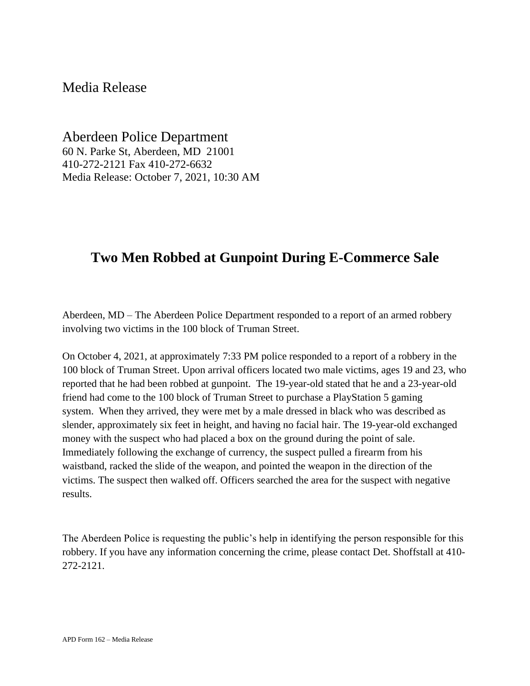## Media Release

Aberdeen Police Department 60 N. Parke St, Aberdeen, MD 21001 410-272-2121 Fax 410-272-6632 Media Release: October 7, 2021, 10:30 AM

## **Two Men Robbed at Gunpoint During E-Commerce Sale**

Aberdeen, MD – The Aberdeen Police Department responded to a report of an armed robbery involving two victims in the 100 block of Truman Street.

On October 4, 2021, at approximately 7:33 PM police responded to a report of a robbery in the 100 block of Truman Street. Upon arrival officers located two male victims, ages 19 and 23, who reported that he had been robbed at gunpoint. The 19-year-old stated that he and a 23-year-old friend had come to the 100 block of Truman Street to purchase a PlayStation 5 gaming system. When they arrived, they were met by a male dressed in black who was described as slender, approximately six feet in height, and having no facial hair. The 19-year-old exchanged money with the suspect who had placed a box on the ground during the point of sale. Immediately following the exchange of currency, the suspect pulled a firearm from his waistband, racked the slide of the weapon, and pointed the weapon in the direction of the victims. The suspect then walked off. Officers searched the area for the suspect with negative results.

The Aberdeen Police is requesting the public's help in identifying the person responsible for this robbery. If you have any information concerning the crime, please contact Det. Shoffstall at 410- 272-2121.